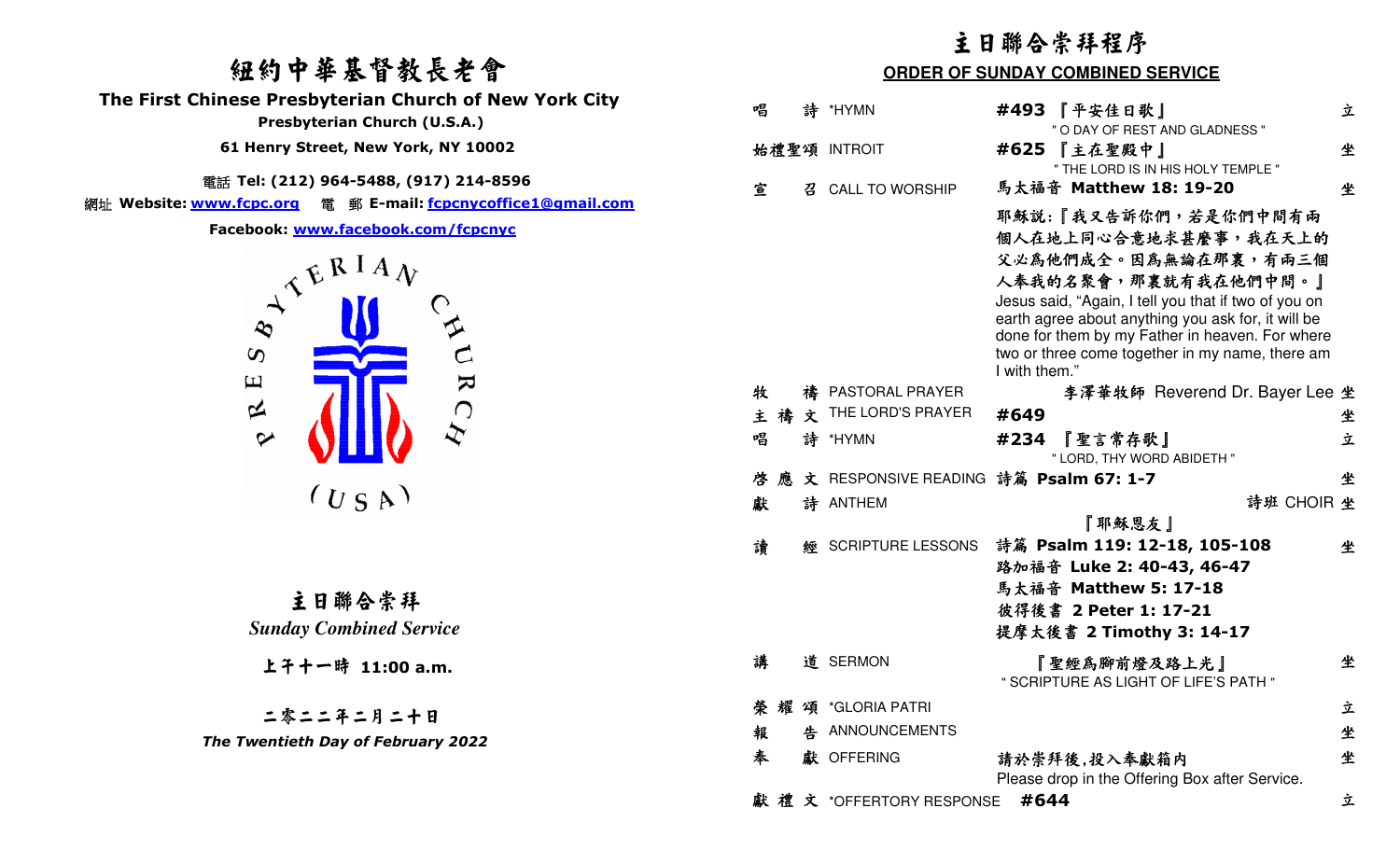# 紐約中華基督教長老會 **The First Chinese Presbyterian Church of New York City Presbyterian Church (U.S.A.) 61 Henry Street, New York, NY 10002**

**電話 Tel: (212) 964-5488, (917) 214-8596**<br>من الله عليه السياسي السياسي السياسي السياسي.

網址 **Website: www.fcpc.org** 電 郵 **E-mail: fcpcnycoffice1@gmail.com**

# Facebook: <u>www.facebook.com/fcpcnyc</u><br>  $\begin{pmatrix} \sqrt{k} & k & A \\ 0 & k & A \end{pmatrix}$

|                                                                                                                                          | 主日聯合崇拜程序<br><b>ORDER OF SUNDAY COMBINED SERVICE</b> |   |                                       |               |                                                                                                                                                                                                                                                                  |   |
|------------------------------------------------------------------------------------------------------------------------------------------|-----------------------------------------------------|---|---------------------------------------|---------------|------------------------------------------------------------------------------------------------------------------------------------------------------------------------------------------------------------------------------------------------------------------|---|
| 纽约中華基督教長老會                                                                                                                               |                                                     |   |                                       |               |                                                                                                                                                                                                                                                                  |   |
| hinese Presbyterian Church of New York City<br>Presbyterian Church (U.S.A.)                                                              | 唱                                                   | 詩 | *HYMN                                 |               | #493 『平安佳日歌』<br>" O DAY OF REST AND GLADNESS "                                                                                                                                                                                                                   | 立 |
| 61 Henry Street, New York, NY 10002                                                                                                      |                                                     |   | 始禮聖頌 INTROIT                          |               | #625 【主在聖殿中】<br>" THE LORD IS IN HIS HOLY TEMPLE "                                                                                                                                                                                                               | 坐 |
| 電話 Tel: (212) 964-5488, (917) 214-8596<br>www.fcpc.org 電 郵 E-mail: <u>fcpcnycoffice1@gmail.com</u><br>Facebook: www.facebook.com/fcpcnyc | 宣                                                   | 召 | <b>CALL TO WORSHIP</b>                |               | 馬太福音 Matthew 18: 19-20<br>耶穌說:『我又告訴你們,若是你們中間有兩<br>個人在地上同心合意地求甚麼事,我在天上的                                                                                                                                                                                           | 坐 |
| $A^{\mathcal{L} \mathcal{L} \mathcal{R} I A} \mathcal{V}$<br>$\boldsymbol{\omega}$<br>$\mathbf \Xi$<br>R                                 |                                                     |   |                                       | I with them." | 父必為他們成全。因為無論在那裏,有兩三個<br>人奉我的名聚會,那裏就有我在他們中間。』<br>Jesus said, "Again, I tell you that if two of you on<br>earth agree about anything you ask for, it will be<br>done for them by my Father in heaven. For where<br>two or three come together in my name, there am |   |
|                                                                                                                                          | 牧                                                   |   | 禱 PASTORAL PRAYER                     |               | 李澤華牧師 Reverend Dr. Bayer Lee 坐                                                                                                                                                                                                                                   |   |
| 区<br>$\bigcap$                                                                                                                           | 主禧                                                  |   | $\dot{\mathbf{x}}$ THE LORD'S PRAYER  | #649          |                                                                                                                                                                                                                                                                  | 坐 |
| $\bm{\dot{\chi}}$<br>$\boldsymbol{\varphi}$                                                                                              | 唱                                                   |   | 詩 *HYMN                               | #234          | 『聖言常存歌』<br>" LORD, THY WORD ABIDETH "                                                                                                                                                                                                                            | 立 |
|                                                                                                                                          | 啓                                                   |   | 文 RESPONSIVE READING 詩篇 Psalm 67: 1-7 |               |                                                                                                                                                                                                                                                                  | 坐 |
| $(U_S A)$                                                                                                                                | 獻                                                   |   | 詩 ANTHEM                              |               | 詩班 CHOIR 坐<br>『耶穌恩友』                                                                                                                                                                                                                                             |   |
| 主日聯合崇拜<br><b>Sunday Combined Service</b>                                                                                                 | 讀                                                   | 經 | SCRIPTURE LESSONS                     |               | 詩篇 Psalm 119: 12-18, 105-108<br>路加福音 Luke 2: 40-43, 46-47<br>馬太福音 Matthew 5: 17-18<br>彼得後書 2 Peter 1: 17-21<br>提摩太後書 2 Timothy 3: 14-17                                                                                                                          | 坐 |
| 上午十一時 11:00 a.m.                                                                                                                         | 講                                                   |   | 道 SERMON                              |               | " 聖經爲腳前燈及路上光 ]<br>" SCRIPTURE AS LIGHT OF LIFE'S PATH "                                                                                                                                                                                                          | 坐 |
|                                                                                                                                          |                                                     |   | 榮耀頌 *GLORIA PATRI                     |               |                                                                                                                                                                                                                                                                  | 立 |
| 二零二二年二月二十日<br>The Twentieth Day of February 2022                                                                                         | 報                                                   |   | 告 ANNOUNCEMENTS                       |               |                                                                                                                                                                                                                                                                  | 坐 |
|                                                                                                                                          | 奉                                                   |   | 獻 OFFERING                            |               | 請於崇拜後,投入奉獻箱内<br>Please drop in the Offering Box after Service.                                                                                                                                                                                                   | 坐 |
|                                                                                                                                          |                                                     |   | 獻禮文 *OFFERTORY RESPONSE               |               | #644                                                                                                                                                                                                                                                             | 立 |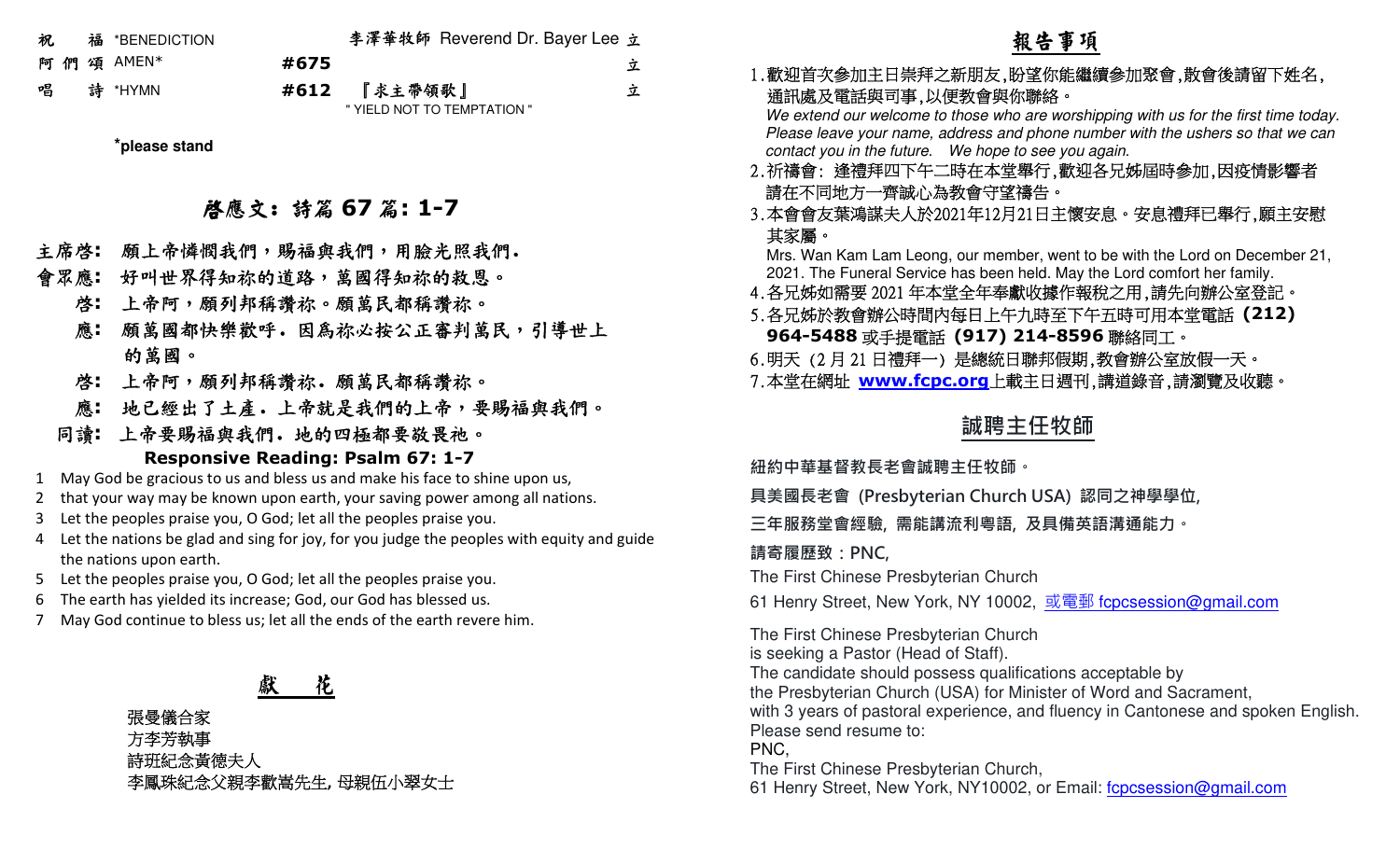| 祝. | 福 *BENEDICTION |      | 李澤華牧師 Reverend Dr. Bayer Lee 立 |   |
|----|----------------|------|--------------------------------|---|
|    | 阿們頌 AMEN*      | #675 |                                | 立 |
|    | 唱 詩 *HYMN      |      | #612 『求主帶領歌』                   | 立 |
|    |                |      | " YIELD NOT TO TEMPTATION "    |   |

**\*please stand**

# 啟應文: 詩篇 **<sup>67</sup>** 篇**: 1-7**

- 主席啟**:** 願上帝憐憫我們,賜福與我們,用臉光照我們.
- 會眾應**:** 好叫世界得知祢的道路,萬國得知祢的救恩。
	- 啟**:** 上帝阿,願列邦稱讚祢。願萬民都稱讚祢。
	- 應**:** 願萬國都快樂歡呼.因為祢必按公正審判萬民,引導世上的萬國。
	- 啟**:** 上帝阿,願列邦稱讚祢.願萬民都稱讚祢。
	- 應**:** 地已經出了土產.上帝就是我們的上帝,要賜福與我們。

## 同讀**:** <sup>上</sup>帝要賜福與我們.地的四極都要敬畏祂。 **Responsive Reading: Psalm 67: 1-7**

- 1 May God be gracious to us and bless us and make his face to shine upon us,
- 2 that your way may be known upon earth, your saving power among all nations.
- 3Let the peoples praise you, O God; let all the peoples praise you.
- 4 Let the nations be glad and sing for joy, for you judge the peoples with equity and guide the nations upon earth.
- 5 Let the peoples praise you, O God; let all the peoples praise you.
- 6 The earth has yielded its increase; God, our God has blessed us.
- 7 May God continue to bless us; let all the ends of the earth revere him.

### 獻花

張曼儀合家 方李芳執事 詩班紀念黃德夫人李鳳珠紀念父親李歡嵩先生**,** 母親伍小翠女士

# 報告事項

## 1.歡迎首次參加主日崇拜之新朋友,盼望你能繼續參加聚會,散會後請留下姓名, 通訊處及電話與司事,以便教會與你聯絡。

 We extend our welcome to those who are worshipping with us for the first time today. Please leave your name, address and phone number with the ushers so that we can contact you in the future. We hope to see you again.

- 2.祈禱會: 逢禮拜四下午二時在本堂舉行,歡迎各兄姊屆時參加,因疫情影響者請在不同地方一齊誠心為教會守望禱告。
- 3.本會會友葉鴻謀夫人於2021年12月21日主懷安息。安息禮拜已舉行,願主安慰 其家屬。

 Mrs. Wan Kam Lam Leong, our member, went to be with the Lord on December 21, 2021. The Funeral Service has been held. May the Lord comfort her family.

- 4.各兄姊如需要2021 年本堂全年奉獻收據作報稅之用,請先向辦公室登記。
- 5.各兄姊於教會辦公時間內每日上午九時至下午五時可用本堂電話 **(212) 964-5488**或手提電話 **(917) 214-8596**聯絡同工。
- 6.明天 (2月21 <sup>日</sup>禮拜一) 是總統日聯邦假期,教會辦公室放假一天。
- 7.本堂在網址 **www.fcpc.org** 上載主日週刊,講道錄音,請瀏覽及收聽。

# **誠聘主任牧師**

**紐約中華基督教⻑老會誠聘主任牧師。** 

**具美國⻑老會 (Presbyterian Church USA) 認同之神學學位,** 

**三年服務堂會經驗, 需能講流利粵語, 及具備英語溝通能力。** 

**請寄履歷致:PNC,**

The First Chinese Presbyterian Church

61 Henry Street, New York, NY 10002, <u>或電郵 f<mark>cpcsession@gmail.com</mark></u>

The First Chinese Presbyterian Church is seeking a Pastor (Head of Staff). The candidate should possess qualifications acceptable by the Presbyterian Church (USA) for Minister of Word and Sacrament, with 3 years of pastoral experience, and fluency in Cantonese and spoken English.Please send resume to: PNC, The First Chinese Presbyterian Church,61 Henry Street, New York, NY10002, or Email: fcpcsession@gmail.com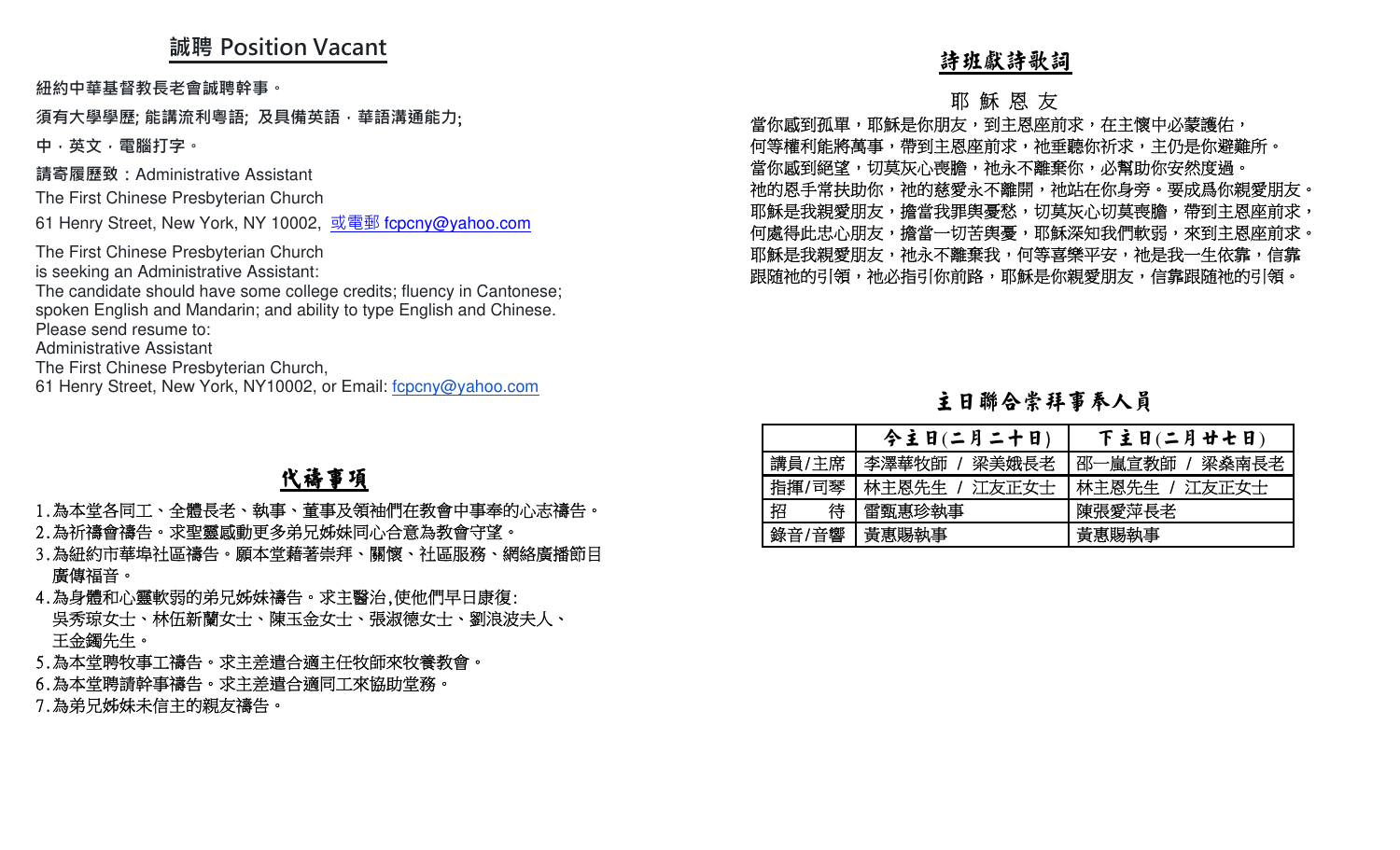# **誠聘 Position Vacant**

**紐約中華基督教⻑老會誠聘幹事。** 

### **須有大學學歷; 能講流利粵語; 及具備英語,華語溝通能力**;

**中,英文,電腦打字。 請寄履歷致:**Administrative Assistant

The First Chinese Presbyterian Church

61 Henry Street, New York, NY 10002, <u>或電郵 f<mark>cpcny@yahoo.com</mark></u>

The First Chinese Presbyterian Church is seeking an Administrative Assistant:

 The candidate should have some college credits; fluency in Cantonese; spoken English and Mandarin; and ability to type English and Chinese.

Please send resume to:

Administrative Assistant

The First Chinese Presbyterian Church,

61 Henry Street, New York, NY10002, or Email: fcpcny@yahoo.com

最カテ単純な、<br>最大の型座、最新度利率等。For Former Hotel internal internal internal internal internal internal internal internal internal internal internal internal internal internal internal internal internal internal internal internal i

|        | 今主日(二月二十日)    | 下主日(二月廿七日)     |
|--------|---------------|----------------|
| 講員/主席  | 李澤華牧師 / 梁美娥長老 | 邵一嵐宣教師 / 梁桑南長老 |
| 指揮/司琴  | 林主恩先生 / 江友正女士 | ┃林主恩先生 / 江友正女士 |
| 招<br>待 | 雷甄惠珍執事        | 陳張愛萍長老         |
| 錄音/音響  | 黃惠賜執事         | 黃惠賜執事          |

# 代禱事項

- 
- 
- 
- 
- 
-